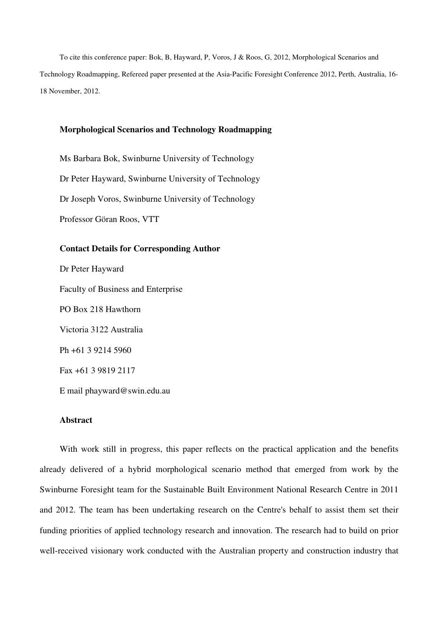To cite this conference paper: Bok, B, Hayward, P, Voros, J & Roos, G, 2012, Morphological Scenarios and Technology Roadmapping, Refereed paper presented at the Asia-Pacific Foresight Conference 2012, Perth, Australia, 16- 18 November, 2012.

#### **Morphological Scenarios and Technology Roadmapping**

Ms Barbara Bok, Swinburne University of Technology Dr Peter Hayward, Swinburne University of Technology Dr Joseph Voros, Swinburne University of Technology Professor Göran Roos, VTT

# **Contact Details for Corresponding Author**

Dr Peter Hayward Faculty of Business and Enterprise PO Box 218 Hawthorn Victoria 3122 Australia Ph +61 3 9214 5960 Fax +61 3 9819 2117

E mail phayward@swin.edu.au

# **Abstract**

With work still in progress, this paper reflects on the practical application and the benefits already delivered of a hybrid morphological scenario method that emerged from work by the Swinburne Foresight team for the Sustainable Built Environment National Research Centre in 2011 and 2012. The team has been undertaking research on the Centre's behalf to assist them set their funding priorities of applied technology research and innovation. The research had to build on prior well-received visionary work conducted with the Australian property and construction industry that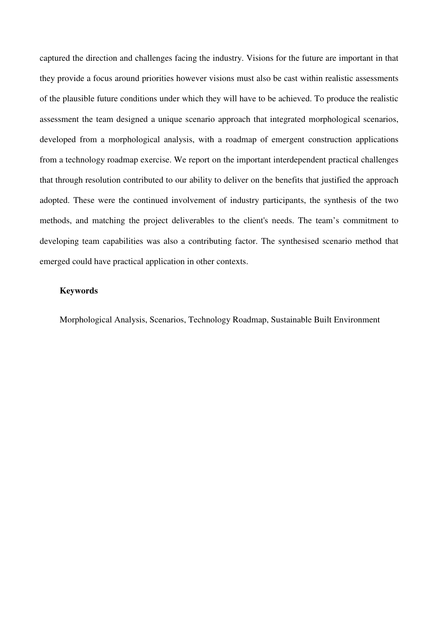captured the direction and challenges facing the industry. Visions for the future are important in that they provide a focus around priorities however visions must also be cast within realistic assessments of the plausible future conditions under which they will have to be achieved. To produce the realistic assessment the team designed a unique scenario approach that integrated morphological scenarios, developed from a morphological analysis, with a roadmap of emergent construction applications from a technology roadmap exercise. We report on the important interdependent practical challenges that through resolution contributed to our ability to deliver on the benefits that justified the approach adopted. These were the continued involvement of industry participants, the synthesis of the two methods, and matching the project deliverables to the client's needs. The team's commitment to developing team capabilities was also a contributing factor. The synthesised scenario method that emerged could have practical application in other contexts.

### **Keywords**

Morphological Analysis, Scenarios, Technology Roadmap, Sustainable Built Environment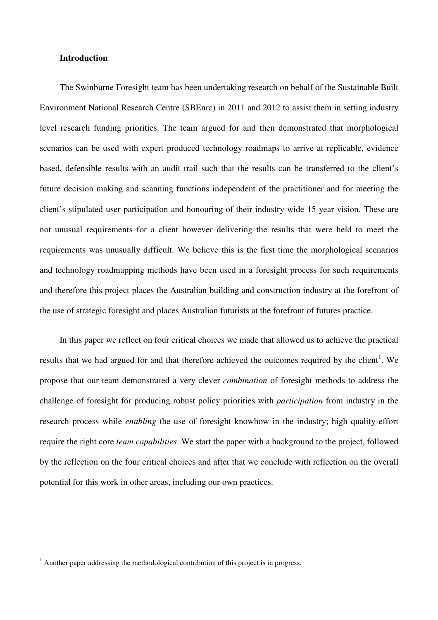### **Introduction**

The Swinburne Foresight team has been undertaking research on behalf of the Sustainable Built Environment National Research Centre (SBEnrc) in 2011 and 2012 to assist them in setting industry level research funding priorities. The team argued for and then demonstrated that morphological scenarios can be used with expert produced technology roadmaps to arrive at replicable, evidence based, defensible results with an audit trail such that the results can be transferred to the client's future decision making and scanning functions independent of the practitioner and for meeting the client's stipulated user participation and honouring of their industry wide 15 year vision. These are not unusual requirements for a client however delivering the results that were held to meet the requirements was unusually difficult. We believe this is the first time the morphological scenarios and technology roadmapping methods have been used in a foresight process for such requirements and therefore this project places the Australian building and construction industry at the forefront of the use of strategic foresight and places Australian futurists at the forefront of futures practice.

In this paper we reflect on four critical choices we made that allowed us to achieve the practical results that we had argued for and that therefore achieved the outcomes required by the client<sup>1</sup>. We propose that our team demonstrated a very clever *combination* of foresight methods to address the challenge of foresight for producing robust policy priorities with *participation* from industry in the research process while *enabling* the use of foresight knowhow in the industry; high quality effort require the right core *team capabilities*. We start the paper with a background to the project, followed by the reflection on the four critical choices and after that we conclude with reflection on the overall potential for this work in other areas, including our own practices.

 $\overline{a}$ 

<sup>1</sup> Another paper addressing the methodological contribution of this project is in progress.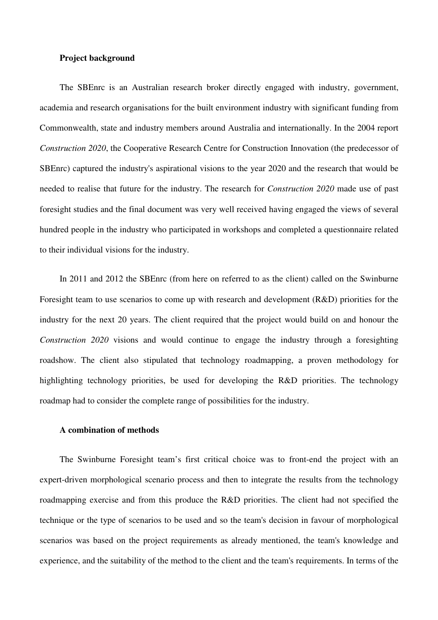### **Project background**

The SBEnrc is an Australian research broker directly engaged with industry, government, academia and research organisations for the built environment industry with significant funding from Commonwealth, state and industry members around Australia and internationally. In the 2004 report *Construction 2020*, the Cooperative Research Centre for Construction Innovation (the predecessor of SBEnrc) captured the industry's aspirational visions to the year 2020 and the research that would be needed to realise that future for the industry. The research for *Construction 2020* made use of past foresight studies and the final document was very well received having engaged the views of several hundred people in the industry who participated in workshops and completed a questionnaire related to their individual visions for the industry.

In 2011 and 2012 the SBEnrc (from here on referred to as the client) called on the Swinburne Foresight team to use scenarios to come up with research and development (R&D) priorities for the industry for the next 20 years. The client required that the project would build on and honour the *Construction 2020* visions and would continue to engage the industry through a foresighting roadshow. The client also stipulated that technology roadmapping, a proven methodology for highlighting technology priorities, be used for developing the R&D priorities. The technology roadmap had to consider the complete range of possibilities for the industry.

### **A combination of methods**

The Swinburne Foresight team's first critical choice was to front-end the project with an expert-driven morphological scenario process and then to integrate the results from the technology roadmapping exercise and from this produce the R&D priorities. The client had not specified the technique or the type of scenarios to be used and so the team's decision in favour of morphological scenarios was based on the project requirements as already mentioned, the team's knowledge and experience, and the suitability of the method to the client and the team's requirements. In terms of the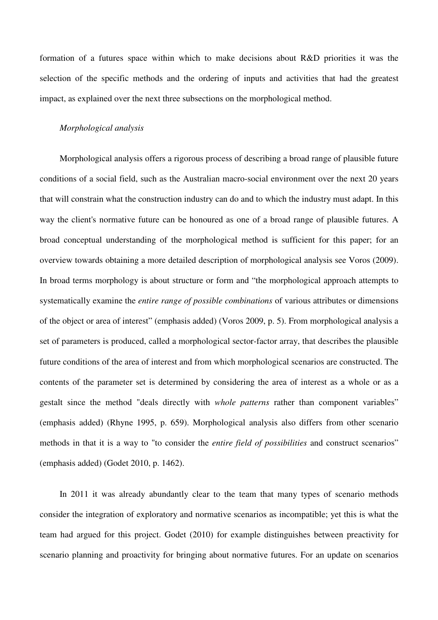formation of a futures space within which to make decisions about R&D priorities it was the selection of the specific methods and the ordering of inputs and activities that had the greatest impact, as explained over the next three subsections on the morphological method.

#### *Morphological analysis*

Morphological analysis offers a rigorous process of describing a broad range of plausible future conditions of a social field, such as the Australian macro-social environment over the next 20 years that will constrain what the construction industry can do and to which the industry must adapt. In this way the client's normative future can be honoured as one of a broad range of plausible futures. A broad conceptual understanding of the morphological method is sufficient for this paper; for an overview towards obtaining a more detailed description of morphological analysis see Voros (2009). In broad terms morphology is about structure or form and "the morphological approach attempts to systematically examine the *entire range of possible combinations* of various attributes or dimensions of the object or area of interest" (emphasis added) (Voros 2009, p. 5). From morphological analysis a set of parameters is produced, called a morphological sector-factor array, that describes the plausible future conditions of the area of interest and from which morphological scenarios are constructed. The contents of the parameter set is determined by considering the area of interest as a whole or as a gestalt since the method "deals directly with *whole patterns* rather than component variables" (emphasis added) (Rhyne 1995, p. 659). Morphological analysis also differs from other scenario methods in that it is a way to "to consider the *entire field of possibilities* and construct scenarios" (emphasis added) (Godet 2010, p. 1462).

In 2011 it was already abundantly clear to the team that many types of scenario methods consider the integration of exploratory and normative scenarios as incompatible; yet this is what the team had argued for this project. Godet (2010) for example distinguishes between preactivity for scenario planning and proactivity for bringing about normative futures. For an update on scenarios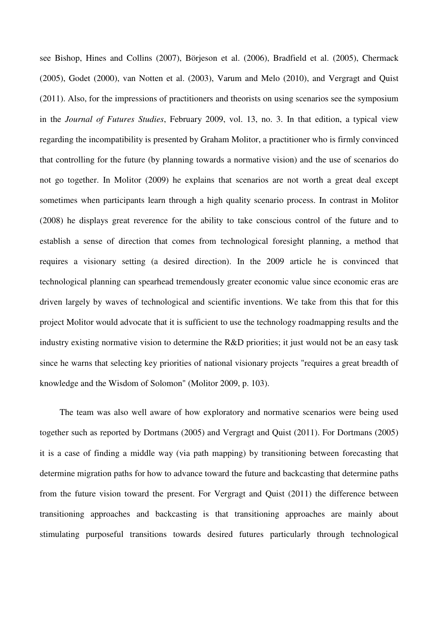see Bishop, Hines and Collins (2007), Börjeson et al. (2006), Bradfield et al. (2005), Chermack (2005), Godet (2000), van Notten et al. (2003), Varum and Melo (2010), and Vergragt and Quist (2011). Also, for the impressions of practitioners and theorists on using scenarios see the symposium in the *Journal of Futures Studies*, February 2009, vol. 13, no. 3. In that edition, a typical view regarding the incompatibility is presented by Graham Molitor, a practitioner who is firmly convinced that controlling for the future (by planning towards a normative vision) and the use of scenarios do not go together. In Molitor (2009) he explains that scenarios are not worth a great deal except sometimes when participants learn through a high quality scenario process. In contrast in Molitor (2008) he displays great reverence for the ability to take conscious control of the future and to establish a sense of direction that comes from technological foresight planning, a method that requires a visionary setting (a desired direction). In the 2009 article he is convinced that technological planning can spearhead tremendously greater economic value since economic eras are driven largely by waves of technological and scientific inventions. We take from this that for this project Molitor would advocate that it is sufficient to use the technology roadmapping results and the industry existing normative vision to determine the R&D priorities; it just would not be an easy task since he warns that selecting key priorities of national visionary projects "requires a great breadth of knowledge and the Wisdom of Solomon" (Molitor 2009, p. 103).

The team was also well aware of how exploratory and normative scenarios were being used together such as reported by Dortmans (2005) and Vergragt and Quist (2011). For Dortmans (2005) it is a case of finding a middle way (via path mapping) by transitioning between forecasting that determine migration paths for how to advance toward the future and backcasting that determine paths from the future vision toward the present. For Vergragt and Quist (2011) the difference between transitioning approaches and backcasting is that transitioning approaches are mainly about stimulating purposeful transitions towards desired futures particularly through technological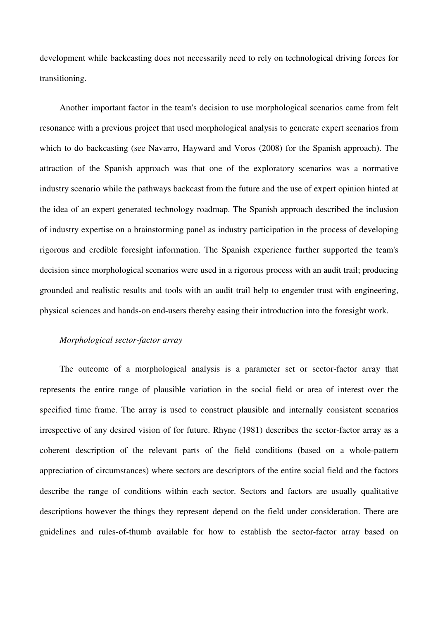development while backcasting does not necessarily need to rely on technological driving forces for transitioning.

Another important factor in the team's decision to use morphological scenarios came from felt resonance with a previous project that used morphological analysis to generate expert scenarios from which to do backcasting (see Navarro, Hayward and Voros (2008) for the Spanish approach). The attraction of the Spanish approach was that one of the exploratory scenarios was a normative industry scenario while the pathways backcast from the future and the use of expert opinion hinted at the idea of an expert generated technology roadmap. The Spanish approach described the inclusion of industry expertise on a brainstorming panel as industry participation in the process of developing rigorous and credible foresight information. The Spanish experience further supported the team's decision since morphological scenarios were used in a rigorous process with an audit trail; producing grounded and realistic results and tools with an audit trail help to engender trust with engineering, physical sciences and hands-on end-users thereby easing their introduction into the foresight work.

### *Morphological sector-factor array*

The outcome of a morphological analysis is a parameter set or sector-factor array that represents the entire range of plausible variation in the social field or area of interest over the specified time frame. The array is used to construct plausible and internally consistent scenarios irrespective of any desired vision of for future. Rhyne (1981) describes the sector-factor array as a coherent description of the relevant parts of the field conditions (based on a whole-pattern appreciation of circumstances) where sectors are descriptors of the entire social field and the factors describe the range of conditions within each sector. Sectors and factors are usually qualitative descriptions however the things they represent depend on the field under consideration. There are guidelines and rules-of-thumb available for how to establish the sector-factor array based on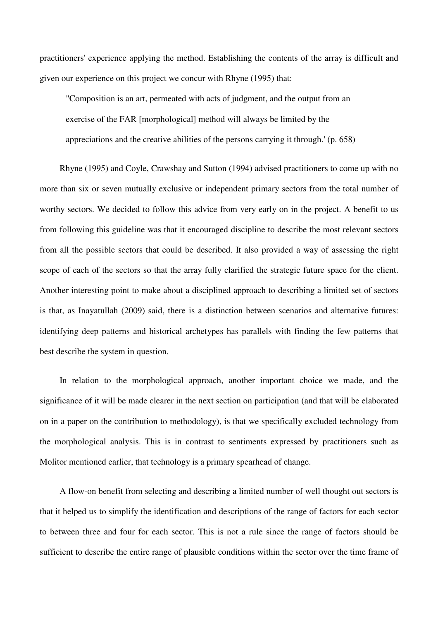practitioners' experience applying the method. Establishing the contents of the array is difficult and given our experience on this project we concur with Rhyne (1995) that:

"Composition is an art, permeated with acts of judgment, and the output from an exercise of the FAR [morphological] method will always be limited by the appreciations and the creative abilities of the persons carrying it through.' (p. 658)

Rhyne (1995) and Coyle, Crawshay and Sutton (1994) advised practitioners to come up with no more than six or seven mutually exclusive or independent primary sectors from the total number of worthy sectors. We decided to follow this advice from very early on in the project. A benefit to us from following this guideline was that it encouraged discipline to describe the most relevant sectors from all the possible sectors that could be described. It also provided a way of assessing the right scope of each of the sectors so that the array fully clarified the strategic future space for the client. Another interesting point to make about a disciplined approach to describing a limited set of sectors is that, as Inayatullah (2009) said, there is a distinction between scenarios and alternative futures: identifying deep patterns and historical archetypes has parallels with finding the few patterns that best describe the system in question.

In relation to the morphological approach, another important choice we made, and the significance of it will be made clearer in the next section on participation (and that will be elaborated on in a paper on the contribution to methodology), is that we specifically excluded technology from the morphological analysis. This is in contrast to sentiments expressed by practitioners such as Molitor mentioned earlier, that technology is a primary spearhead of change.

A flow-on benefit from selecting and describing a limited number of well thought out sectors is that it helped us to simplify the identification and descriptions of the range of factors for each sector to between three and four for each sector. This is not a rule since the range of factors should be sufficient to describe the entire range of plausible conditions within the sector over the time frame of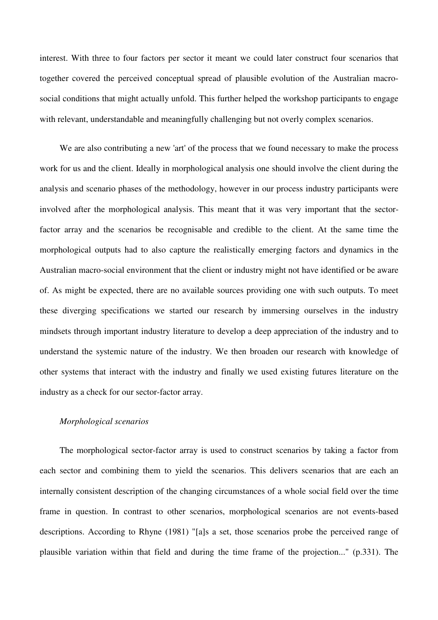interest. With three to four factors per sector it meant we could later construct four scenarios that together covered the perceived conceptual spread of plausible evolution of the Australian macrosocial conditions that might actually unfold. This further helped the workshop participants to engage with relevant, understandable and meaningfully challenging but not overly complex scenarios.

We are also contributing a new 'art' of the process that we found necessary to make the process work for us and the client. Ideally in morphological analysis one should involve the client during the analysis and scenario phases of the methodology, however in our process industry participants were involved after the morphological analysis. This meant that it was very important that the sectorfactor array and the scenarios be recognisable and credible to the client. At the same time the morphological outputs had to also capture the realistically emerging factors and dynamics in the Australian macro-social environment that the client or industry might not have identified or be aware of. As might be expected, there are no available sources providing one with such outputs. To meet these diverging specifications we started our research by immersing ourselves in the industry mindsets through important industry literature to develop a deep appreciation of the industry and to understand the systemic nature of the industry. We then broaden our research with knowledge of other systems that interact with the industry and finally we used existing futures literature on the industry as a check for our sector-factor array.

### *Morphological scenarios*

The morphological sector-factor array is used to construct scenarios by taking a factor from each sector and combining them to yield the scenarios. This delivers scenarios that are each an internally consistent description of the changing circumstances of a whole social field over the time frame in question. In contrast to other scenarios, morphological scenarios are not events-based descriptions. According to Rhyne (1981) "[a]s a set, those scenarios probe the perceived range of plausible variation within that field and during the time frame of the projection..." (p.331). The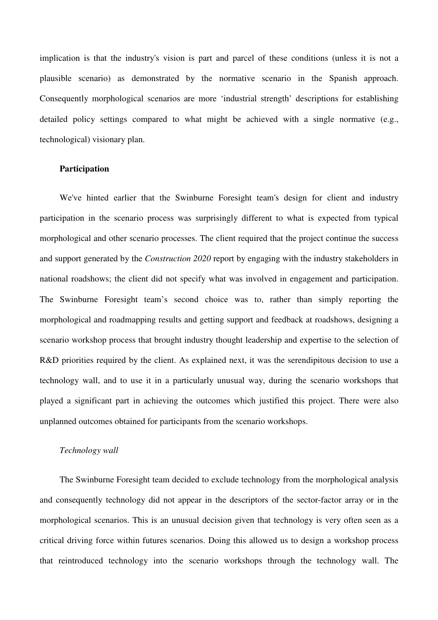implication is that the industry's vision is part and parcel of these conditions (unless it is not a plausible scenario) as demonstrated by the normative scenario in the Spanish approach. Consequently morphological scenarios are more 'industrial strength' descriptions for establishing detailed policy settings compared to what might be achieved with a single normative (e.g., technological) visionary plan.

# **Participation**

We've hinted earlier that the Swinburne Foresight team's design for client and industry participation in the scenario process was surprisingly different to what is expected from typical morphological and other scenario processes. The client required that the project continue the success and support generated by the *Construction 2020* report by engaging with the industry stakeholders in national roadshows; the client did not specify what was involved in engagement and participation. The Swinburne Foresight team's second choice was to, rather than simply reporting the morphological and roadmapping results and getting support and feedback at roadshows, designing a scenario workshop process that brought industry thought leadership and expertise to the selection of R&D priorities required by the client. As explained next, it was the serendipitous decision to use a technology wall, and to use it in a particularly unusual way, during the scenario workshops that played a significant part in achieving the outcomes which justified this project. There were also unplanned outcomes obtained for participants from the scenario workshops.

### *Technology wall*

The Swinburne Foresight team decided to exclude technology from the morphological analysis and consequently technology did not appear in the descriptors of the sector-factor array or in the morphological scenarios. This is an unusual decision given that technology is very often seen as a critical driving force within futures scenarios. Doing this allowed us to design a workshop process that reintroduced technology into the scenario workshops through the technology wall. The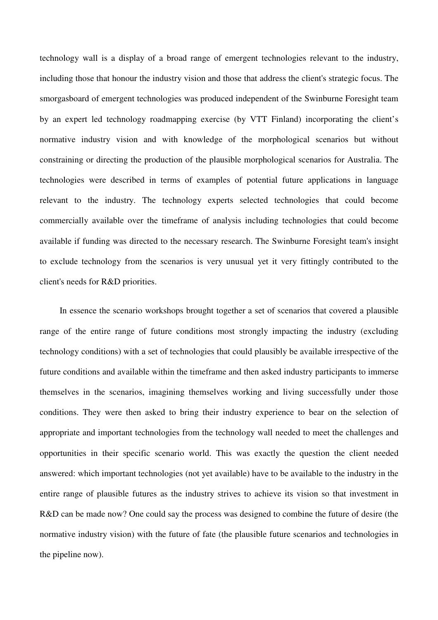technology wall is a display of a broad range of emergent technologies relevant to the industry, including those that honour the industry vision and those that address the client's strategic focus. The smorgasboard of emergent technologies was produced independent of the Swinburne Foresight team by an expert led technology roadmapping exercise (by VTT Finland) incorporating the client's normative industry vision and with knowledge of the morphological scenarios but without constraining or directing the production of the plausible morphological scenarios for Australia. The technologies were described in terms of examples of potential future applications in language relevant to the industry. The technology experts selected technologies that could become commercially available over the timeframe of analysis including technologies that could become available if funding was directed to the necessary research. The Swinburne Foresight team's insight to exclude technology from the scenarios is very unusual yet it very fittingly contributed to the client's needs for R&D priorities.

In essence the scenario workshops brought together a set of scenarios that covered a plausible range of the entire range of future conditions most strongly impacting the industry (excluding technology conditions) with a set of technologies that could plausibly be available irrespective of the future conditions and available within the timeframe and then asked industry participants to immerse themselves in the scenarios, imagining themselves working and living successfully under those conditions. They were then asked to bring their industry experience to bear on the selection of appropriate and important technologies from the technology wall needed to meet the challenges and opportunities in their specific scenario world. This was exactly the question the client needed answered: which important technologies (not yet available) have to be available to the industry in the entire range of plausible futures as the industry strives to achieve its vision so that investment in R&D can be made now? One could say the process was designed to combine the future of desire (the normative industry vision) with the future of fate (the plausible future scenarios and technologies in the pipeline now).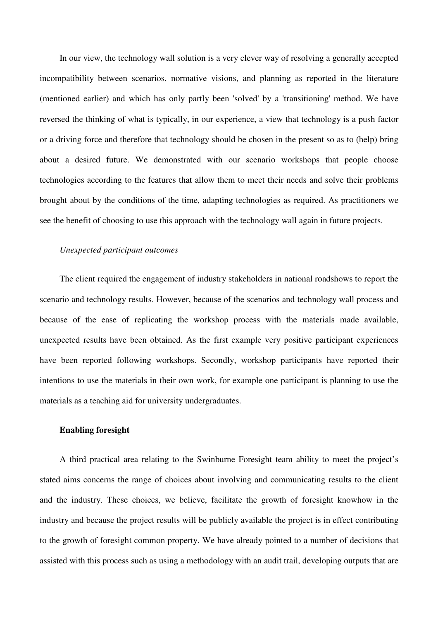In our view, the technology wall solution is a very clever way of resolving a generally accepted incompatibility between scenarios, normative visions, and planning as reported in the literature (mentioned earlier) and which has only partly been 'solved' by a 'transitioning' method. We have reversed the thinking of what is typically, in our experience, a view that technology is a push factor or a driving force and therefore that technology should be chosen in the present so as to (help) bring about a desired future. We demonstrated with our scenario workshops that people choose technologies according to the features that allow them to meet their needs and solve their problems brought about by the conditions of the time, adapting technologies as required. As practitioners we see the benefit of choosing to use this approach with the technology wall again in future projects.

#### *Unexpected participant outcomes*

The client required the engagement of industry stakeholders in national roadshows to report the scenario and technology results. However, because of the scenarios and technology wall process and because of the ease of replicating the workshop process with the materials made available, unexpected results have been obtained. As the first example very positive participant experiences have been reported following workshops. Secondly, workshop participants have reported their intentions to use the materials in their own work, for example one participant is planning to use the materials as a teaching aid for university undergraduates.

# **Enabling foresight**

A third practical area relating to the Swinburne Foresight team ability to meet the project's stated aims concerns the range of choices about involving and communicating results to the client and the industry. These choices, we believe, facilitate the growth of foresight knowhow in the industry and because the project results will be publicly available the project is in effect contributing to the growth of foresight common property. We have already pointed to a number of decisions that assisted with this process such as using a methodology with an audit trail, developing outputs that are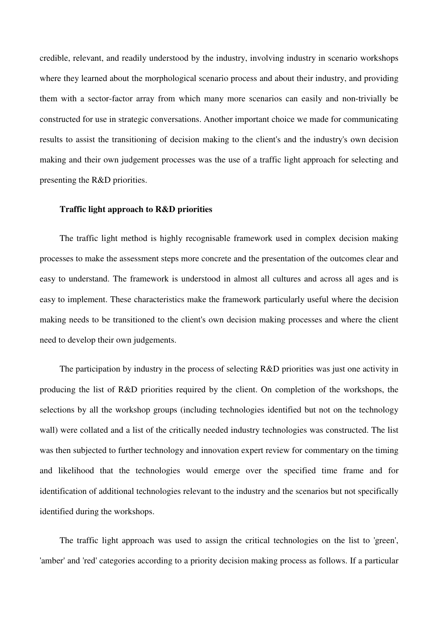credible, relevant, and readily understood by the industry, involving industry in scenario workshops where they learned about the morphological scenario process and about their industry, and providing them with a sector-factor array from which many more scenarios can easily and non-trivially be constructed for use in strategic conversations. Another important choice we made for communicating results to assist the transitioning of decision making to the client's and the industry's own decision making and their own judgement processes was the use of a traffic light approach for selecting and presenting the R&D priorities.

#### **Traffic light approach to R&D priorities**

The traffic light method is highly recognisable framework used in complex decision making processes to make the assessment steps more concrete and the presentation of the outcomes clear and easy to understand. The framework is understood in almost all cultures and across all ages and is easy to implement. These characteristics make the framework particularly useful where the decision making needs to be transitioned to the client's own decision making processes and where the client need to develop their own judgements.

The participation by industry in the process of selecting R&D priorities was just one activity in producing the list of R&D priorities required by the client. On completion of the workshops, the selections by all the workshop groups (including technologies identified but not on the technology wall) were collated and a list of the critically needed industry technologies was constructed. The list was then subjected to further technology and innovation expert review for commentary on the timing and likelihood that the technologies would emerge over the specified time frame and for identification of additional technologies relevant to the industry and the scenarios but not specifically identified during the workshops.

The traffic light approach was used to assign the critical technologies on the list to 'green', 'amber' and 'red' categories according to a priority decision making process as follows. If a particular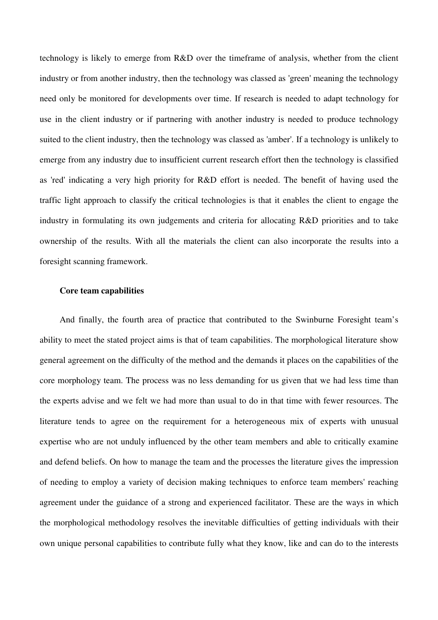technology is likely to emerge from R&D over the timeframe of analysis, whether from the client industry or from another industry, then the technology was classed as 'green' meaning the technology need only be monitored for developments over time. If research is needed to adapt technology for use in the client industry or if partnering with another industry is needed to produce technology suited to the client industry, then the technology was classed as 'amber'. If a technology is unlikely to emerge from any industry due to insufficient current research effort then the technology is classified as 'red' indicating a very high priority for R&D effort is needed. The benefit of having used the traffic light approach to classify the critical technologies is that it enables the client to engage the industry in formulating its own judgements and criteria for allocating R&D priorities and to take ownership of the results. With all the materials the client can also incorporate the results into a foresight scanning framework.

### **Core team capabilities**

And finally, the fourth area of practice that contributed to the Swinburne Foresight team's ability to meet the stated project aims is that of team capabilities. The morphological literature show general agreement on the difficulty of the method and the demands it places on the capabilities of the core morphology team. The process was no less demanding for us given that we had less time than the experts advise and we felt we had more than usual to do in that time with fewer resources. The literature tends to agree on the requirement for a heterogeneous mix of experts with unusual expertise who are not unduly influenced by the other team members and able to critically examine and defend beliefs. On how to manage the team and the processes the literature gives the impression of needing to employ a variety of decision making techniques to enforce team members' reaching agreement under the guidance of a strong and experienced facilitator. These are the ways in which the morphological methodology resolves the inevitable difficulties of getting individuals with their own unique personal capabilities to contribute fully what they know, like and can do to the interests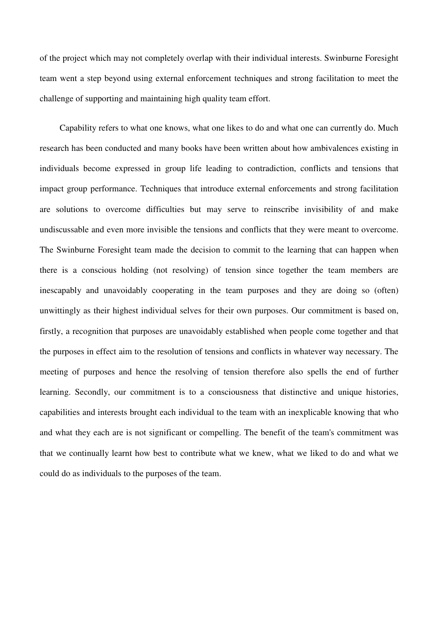of the project which may not completely overlap with their individual interests. Swinburne Foresight team went a step beyond using external enforcement techniques and strong facilitation to meet the challenge of supporting and maintaining high quality team effort.

Capability refers to what one knows, what one likes to do and what one can currently do. Much research has been conducted and many books have been written about how ambivalences existing in individuals become expressed in group life leading to contradiction, conflicts and tensions that impact group performance. Techniques that introduce external enforcements and strong facilitation are solutions to overcome difficulties but may serve to reinscribe invisibility of and make undiscussable and even more invisible the tensions and conflicts that they were meant to overcome. The Swinburne Foresight team made the decision to commit to the learning that can happen when there is a conscious holding (not resolving) of tension since together the team members are inescapably and unavoidably cooperating in the team purposes and they are doing so (often) unwittingly as their highest individual selves for their own purposes. Our commitment is based on, firstly, a recognition that purposes are unavoidably established when people come together and that the purposes in effect aim to the resolution of tensions and conflicts in whatever way necessary. The meeting of purposes and hence the resolving of tension therefore also spells the end of further learning. Secondly, our commitment is to a consciousness that distinctive and unique histories, capabilities and interests brought each individual to the team with an inexplicable knowing that who and what they each are is not significant or compelling. The benefit of the team's commitment was that we continually learnt how best to contribute what we knew, what we liked to do and what we could do as individuals to the purposes of the team.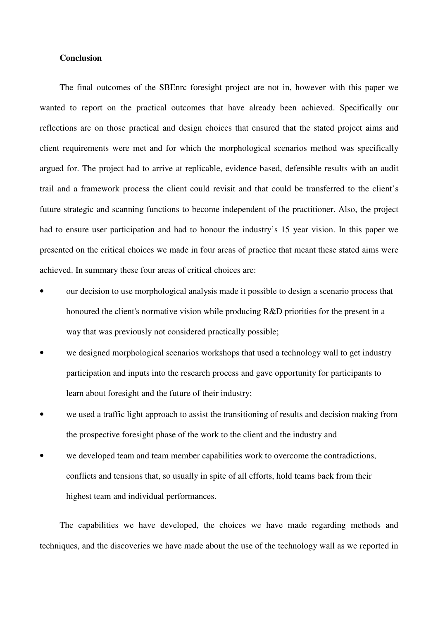### **Conclusion**

The final outcomes of the SBEnrc foresight project are not in, however with this paper we wanted to report on the practical outcomes that have already been achieved. Specifically our reflections are on those practical and design choices that ensured that the stated project aims and client requirements were met and for which the morphological scenarios method was specifically argued for. The project had to arrive at replicable, evidence based, defensible results with an audit trail and a framework process the client could revisit and that could be transferred to the client's future strategic and scanning functions to become independent of the practitioner. Also, the project had to ensure user participation and had to honour the industry's 15 year vision. In this paper we presented on the critical choices we made in four areas of practice that meant these stated aims were achieved. In summary these four areas of critical choices are:

- our decision to use morphological analysis made it possible to design a scenario process that honoured the client's normative vision while producing R&D priorities for the present in a way that was previously not considered practically possible;
- we designed morphological scenarios workshops that used a technology wall to get industry participation and inputs into the research process and gave opportunity for participants to learn about foresight and the future of their industry;
- we used a traffic light approach to assist the transitioning of results and decision making from the prospective foresight phase of the work to the client and the industry and
- we developed team and team member capabilities work to overcome the contradictions, conflicts and tensions that, so usually in spite of all efforts, hold teams back from their highest team and individual performances.

The capabilities we have developed, the choices we have made regarding methods and techniques, and the discoveries we have made about the use of the technology wall as we reported in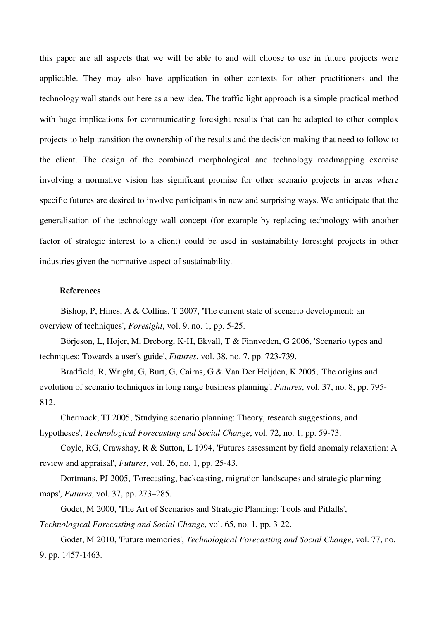this paper are all aspects that we will be able to and will choose to use in future projects were applicable. They may also have application in other contexts for other practitioners and the technology wall stands out here as a new idea. The traffic light approach is a simple practical method with huge implications for communicating foresight results that can be adapted to other complex projects to help transition the ownership of the results and the decision making that need to follow to the client. The design of the combined morphological and technology roadmapping exercise involving a normative vision has significant promise for other scenario projects in areas where specific futures are desired to involve participants in new and surprising ways. We anticipate that the generalisation of the technology wall concept (for example by replacing technology with another factor of strategic interest to a client) could be used in sustainability foresight projects in other industries given the normative aspect of sustainability.

# **References**

Bishop, P, Hines, A & Collins, T 2007, 'The current state of scenario development: an overview of techniques', *Foresight*, vol. 9, no. 1, pp. 5-25.

Börjeson, L, Höjer, M, Dreborg, K-H, Ekvall, T & Finnveden, G 2006, 'Scenario types and techniques: Towards a user's guide', *Futures*, vol. 38, no. 7, pp. 723-739.

Bradfield, R, Wright, G, Burt, G, Cairns, G & Van Der Heijden, K 2005, 'The origins and evolution of scenario techniques in long range business planning', *Futures*, vol. 37, no. 8, pp. 795- 812.

Chermack, TJ 2005, 'Studying scenario planning: Theory, research suggestions, and hypotheses', *Technological Forecasting and Social Change*, vol. 72, no. 1, pp. 59-73.

Coyle, RG, Crawshay, R & Sutton, L 1994, 'Futures assessment by field anomaly relaxation: A review and appraisal', *Futures*, vol. 26, no. 1, pp. 25-43.

Dortmans, PJ 2005, 'Forecasting, backcasting, migration landscapes and strategic planning maps', *Futures*, vol. 37, pp. 273–285.

Godet, M 2000, 'The Art of Scenarios and Strategic Planning: Tools and Pitfalls', *Technological Forecasting and Social Change*, vol. 65, no. 1, pp. 3-22.

Godet, M 2010, 'Future memories', *Technological Forecasting and Social Change*, vol. 77, no. 9, pp. 1457-1463.